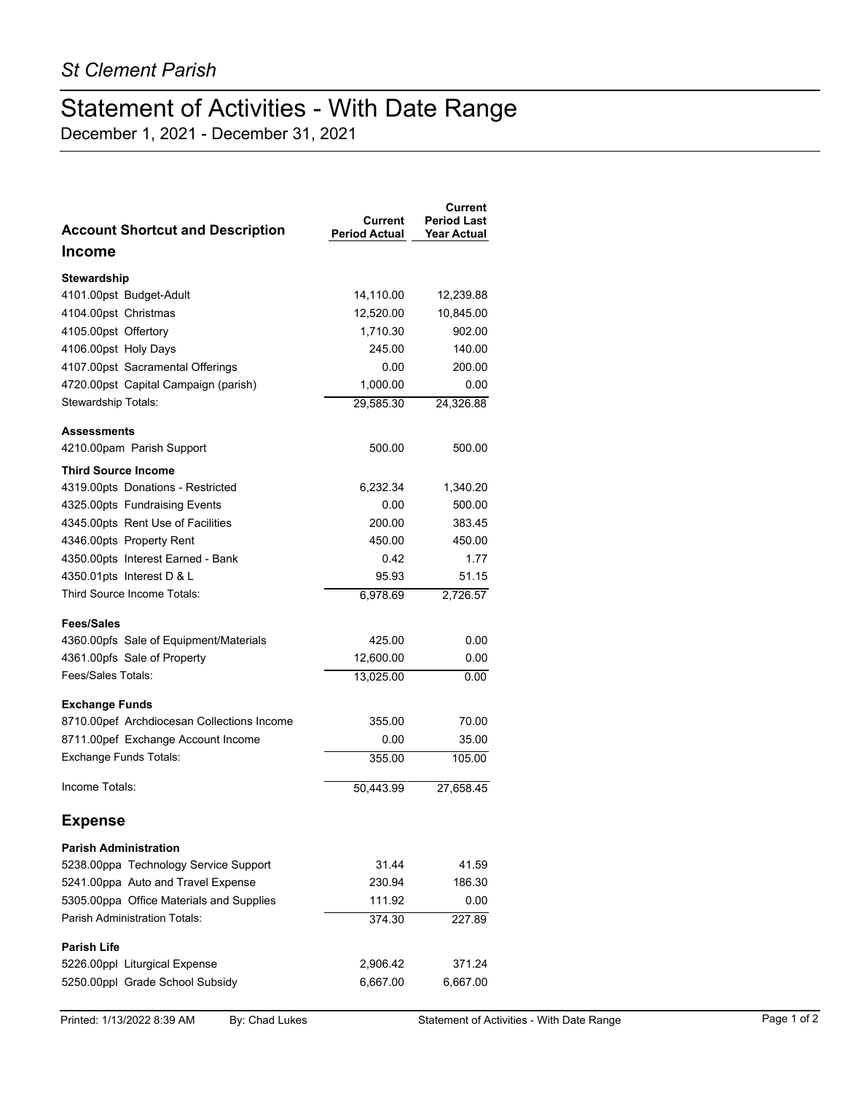## Statement of Activities - With Date Range

December 1, 2021 - December 31, 2021

| <b>Account Shortcut and Description</b>    | Current<br><b>Period Actual</b> | Current<br><b>Period Last</b><br><b>Year Actual</b> |
|--------------------------------------------|---------------------------------|-----------------------------------------------------|
| <b>Income</b>                              |                                 |                                                     |
| <b>Stewardship</b>                         |                                 |                                                     |
| 4101.00pst Budget-Adult                    | 14,110.00                       | 12,239.88                                           |
| 4104.00pst Christmas                       | 12,520.00                       | 10,845.00                                           |
| 4105.00pst Offertory                       | 1,710.30                        | 902.00                                              |
| 4106.00pst Holy Days                       | 245.00                          | 140.00                                              |
| 4107.00pst Sacramental Offerings           | 0.00                            | 200.00                                              |
| 4720.00pst Capital Campaign (parish)       | 1,000.00                        | 0.00                                                |
| Stewardship Totals:                        | 29,585.30                       | 24,326.88                                           |
| <b>Assessments</b>                         |                                 |                                                     |
| 4210.00pam Parish Support                  | 500.00                          | 500.00                                              |
| <b>Third Source Income</b>                 |                                 |                                                     |
| 4319.00pts Donations - Restricted          | 6,232.34                        | 1,340.20                                            |
| 4325.00pts Fundraising Events              | 0.00                            | 500.00                                              |
| 4345.00pts Rent Use of Facilities          | 200.00                          | 383.45                                              |
| 4346.00pts Property Rent                   | 450.00                          | 450.00                                              |
| 4350.00pts Interest Earned - Bank          | 0.42                            | 1.77                                                |
| 4350.01pts Interest D & L                  | 95.93                           | 51.15                                               |
| Third Source Income Totals:                | 6,978.69                        | 2,726.57                                            |
| <b>Fees/Sales</b>                          |                                 |                                                     |
| 4360.00pfs Sale of Equipment/Materials     | 425.00                          | 0.00                                                |
| 4361.00pfs Sale of Property                | 12,600.00                       | 0.00                                                |
| Fees/Sales Totals:                         | 13,025.00                       | 0.00                                                |
| <b>Exchange Funds</b>                      |                                 |                                                     |
| 8710.00pef Archdiocesan Collections Income | 355.00                          | 70.00                                               |
| 8711.00pef Exchange Account Income         | 0.00                            | 35.00                                               |
| Exchange Funds Totals:                     | 355.00                          | 105.00                                              |
| Income Totals:                             | 50.443.99                       | 27,658.45                                           |
| <b>Expense</b>                             |                                 |                                                     |
| <b>Parish Administration</b>               |                                 |                                                     |
| 5238.00ppa Technology Service Support      | 31.44                           | 41.59                                               |
| 5241.00ppa Auto and Travel Expense         | 230.94                          | 186.30                                              |
| 5305.00ppa Office Materials and Supplies   | 111.92                          | 0.00                                                |
| Parish Administration Totals:              | 374.30                          | 227.89                                              |
| <b>Parish Life</b>                         |                                 |                                                     |
| 5226.00ppl Liturgical Expense              | 2,906.42                        | 371.24                                              |
| 5250.00ppl Grade School Subsidy            | 6,667.00                        | 6,667.00                                            |